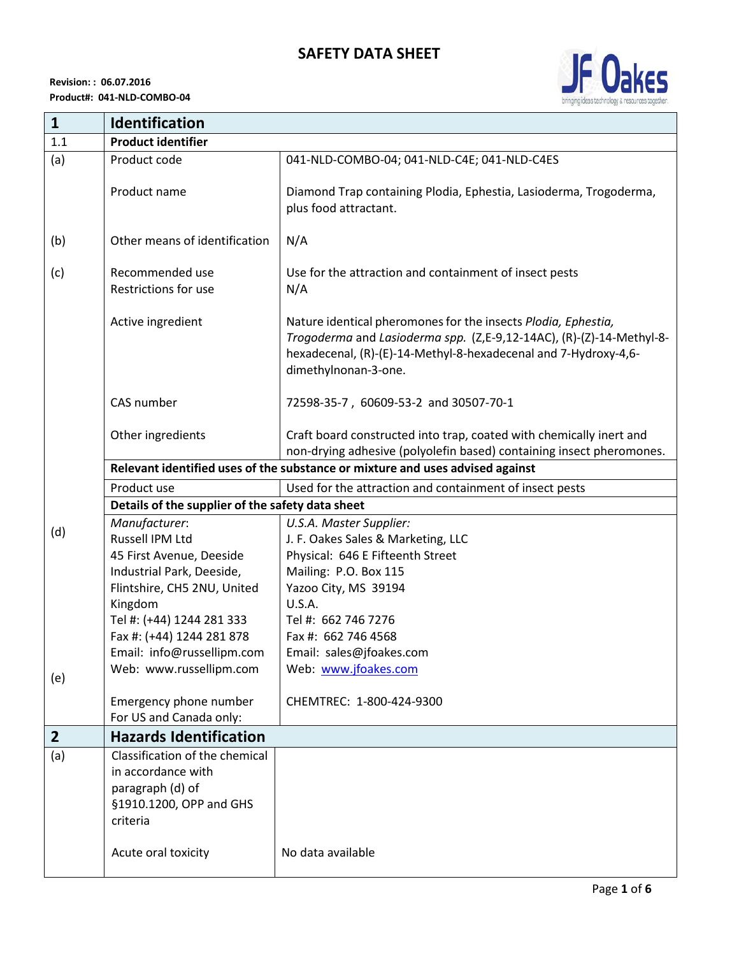

| $\mathbf{1}$   | <b>Identification</b>                                                                                           |                                                                                                                                                                                                                                  |  |
|----------------|-----------------------------------------------------------------------------------------------------------------|----------------------------------------------------------------------------------------------------------------------------------------------------------------------------------------------------------------------------------|--|
| 1.1            | <b>Product identifier</b>                                                                                       |                                                                                                                                                                                                                                  |  |
| (a)            | Product code                                                                                                    | 041-NLD-COMBO-04; 041-NLD-C4E; 041-NLD-C4ES                                                                                                                                                                                      |  |
|                | Product name                                                                                                    | Diamond Trap containing Plodia, Ephestia, Lasioderma, Trogoderma,<br>plus food attractant.                                                                                                                                       |  |
| (b)            | Other means of identification                                                                                   | N/A                                                                                                                                                                                                                              |  |
| (c)            | Recommended use<br>Restrictions for use                                                                         | Use for the attraction and containment of insect pests<br>N/A                                                                                                                                                                    |  |
|                | Active ingredient                                                                                               | Nature identical pheromones for the insects Plodia, Ephestia,<br>Trogoderma and Lasioderma spp. (Z,E-9,12-14AC), (R)-(Z)-14-Methyl-8-<br>hexadecenal, (R)-(E)-14-Methyl-8-hexadecenal and 7-Hydroxy-4,6-<br>dimethylnonan-3-one. |  |
|                | CAS number                                                                                                      | 72598-35-7, 60609-53-2 and 30507-70-1                                                                                                                                                                                            |  |
|                | Other ingredients                                                                                               | Craft board constructed into trap, coated with chemically inert and<br>non-drying adhesive (polyolefin based) containing insect pheromones.                                                                                      |  |
|                | Relevant identified uses of the substance or mixture and uses advised against                                   |                                                                                                                                                                                                                                  |  |
|                | Product use                                                                                                     | Used for the attraction and containment of insect pests                                                                                                                                                                          |  |
|                | Details of the supplier of the safety data sheet                                                                |                                                                                                                                                                                                                                  |  |
|                | Manufacturer:                                                                                                   | U.S.A. Master Supplier:                                                                                                                                                                                                          |  |
| (d)            | Russell IPM Ltd                                                                                                 | J. F. Oakes Sales & Marketing, LLC                                                                                                                                                                                               |  |
|                | 45 First Avenue, Deeside                                                                                        | Physical: 646 E Fifteenth Street                                                                                                                                                                                                 |  |
|                | Industrial Park, Deeside,                                                                                       | Mailing: P.O. Box 115                                                                                                                                                                                                            |  |
|                | Flintshire, CH5 2NU, United                                                                                     | Yazoo City, MS 39194                                                                                                                                                                                                             |  |
|                | Kingdom                                                                                                         | U.S.A.                                                                                                                                                                                                                           |  |
|                | Tel #: (+44) 1244 281 333                                                                                       | Tel #: 662 746 7276                                                                                                                                                                                                              |  |
|                | Fax #: (+44) 1244 281 878                                                                                       | Fax #: 662 746 4568                                                                                                                                                                                                              |  |
|                | Email: info@russellipm.com                                                                                      | Email: sales@jfoakes.com                                                                                                                                                                                                         |  |
| (e)            | Web: www.russellipm.com                                                                                         | Web: www.jfoakes.com                                                                                                                                                                                                             |  |
|                | Emergency phone number<br>For US and Canada only:                                                               | CHEMTREC: 1-800-424-9300                                                                                                                                                                                                         |  |
| $\overline{2}$ | <b>Hazards Identification</b>                                                                                   |                                                                                                                                                                                                                                  |  |
| (a)            | Classification of the chemical<br>in accordance with<br>paragraph (d) of<br>§1910.1200, OPP and GHS<br>criteria |                                                                                                                                                                                                                                  |  |
|                | Acute oral toxicity                                                                                             | No data available                                                                                                                                                                                                                |  |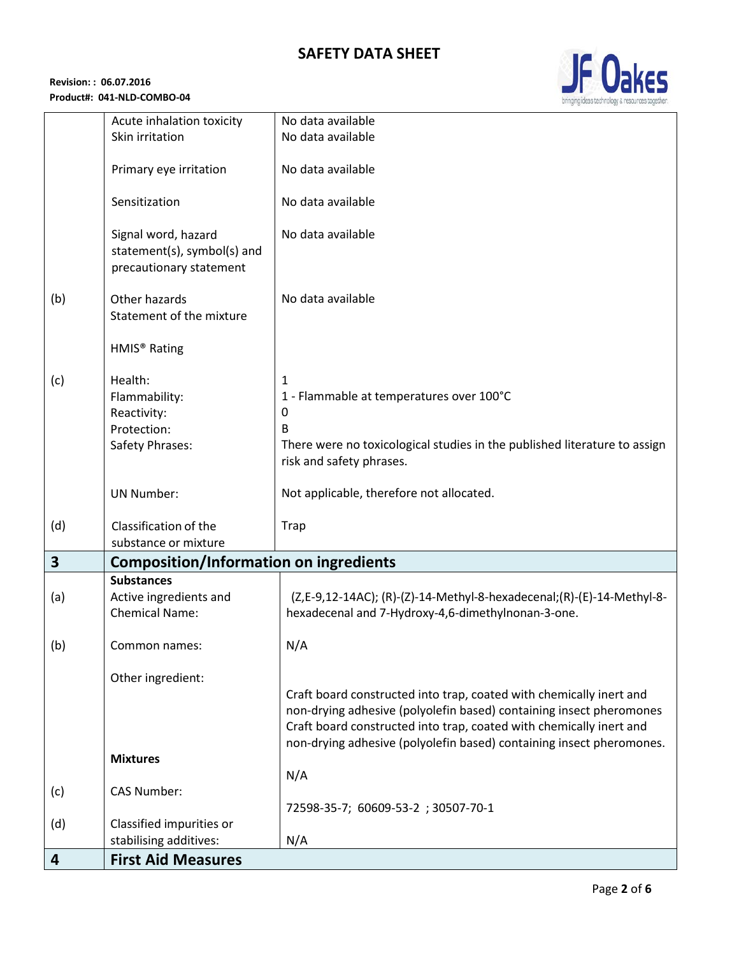

| 4                       | <b>First Aid Measures</b>                                          |                                                                                |
|-------------------------|--------------------------------------------------------------------|--------------------------------------------------------------------------------|
|                         | stabilising additives:                                             | N/A                                                                            |
| (d)                     | Classified impurities or                                           | 72598-35-7; 60609-53-2; 30507-70-1                                             |
| (c)                     | <b>CAS Number:</b>                                                 |                                                                                |
|                         |                                                                    | N/A                                                                            |
|                         | <b>Mixtures</b>                                                    | non-drying adhesive (polyolefin based) containing insect pheromones.           |
|                         |                                                                    | Craft board constructed into trap, coated with chemically inert and            |
|                         |                                                                    | non-drying adhesive (polyolefin based) containing insect pheromones            |
|                         | Other ingredient:                                                  | Craft board constructed into trap, coated with chemically inert and            |
|                         |                                                                    |                                                                                |
| (b)                     | Common names:                                                      | N/A                                                                            |
|                         | <b>Chemical Name:</b>                                              | hexadecenal and 7-Hydroxy-4,6-dimethylnonan-3-one.                             |
| (a)                     | Active ingredients and                                             | (Z,E-9,12-14AC); (R)-(Z)-14-Methyl-8-hexadecenal; (R)-(E)-14-Methyl-8-         |
| $\overline{\mathbf{3}}$ | <b>Composition/Information on ingredients</b><br><b>Substances</b> |                                                                                |
|                         | substance or mixture                                               |                                                                                |
| (d)                     | Classification of the                                              | Trap                                                                           |
|                         | <b>UN Number:</b>                                                  | Not applicable, therefore not allocated.                                       |
|                         |                                                                    |                                                                                |
|                         |                                                                    | risk and safety phrases.                                                       |
|                         | Protection:<br>Safety Phrases:                                     | B<br>There were no toxicological studies in the published literature to assign |
|                         | Reactivity:                                                        | 0                                                                              |
|                         | Flammability:                                                      | 1 - Flammable at temperatures over 100°C                                       |
| (c)                     | Health:                                                            | 1                                                                              |
|                         | HMIS <sup>®</sup> Rating                                           |                                                                                |
|                         |                                                                    |                                                                                |
| (b)                     | Other hazards<br>Statement of the mixture                          | No data available                                                              |
|                         |                                                                    |                                                                                |
|                         | statement(s), symbol(s) and<br>precautionary statement             |                                                                                |
|                         | Signal word, hazard                                                | No data available                                                              |
|                         |                                                                    |                                                                                |
|                         | Sensitization                                                      | No data available                                                              |
|                         | Primary eye irritation                                             | No data available                                                              |
|                         | Skin irritation                                                    | No data available                                                              |
|                         | Acute inhalation toxicity                                          | No data available                                                              |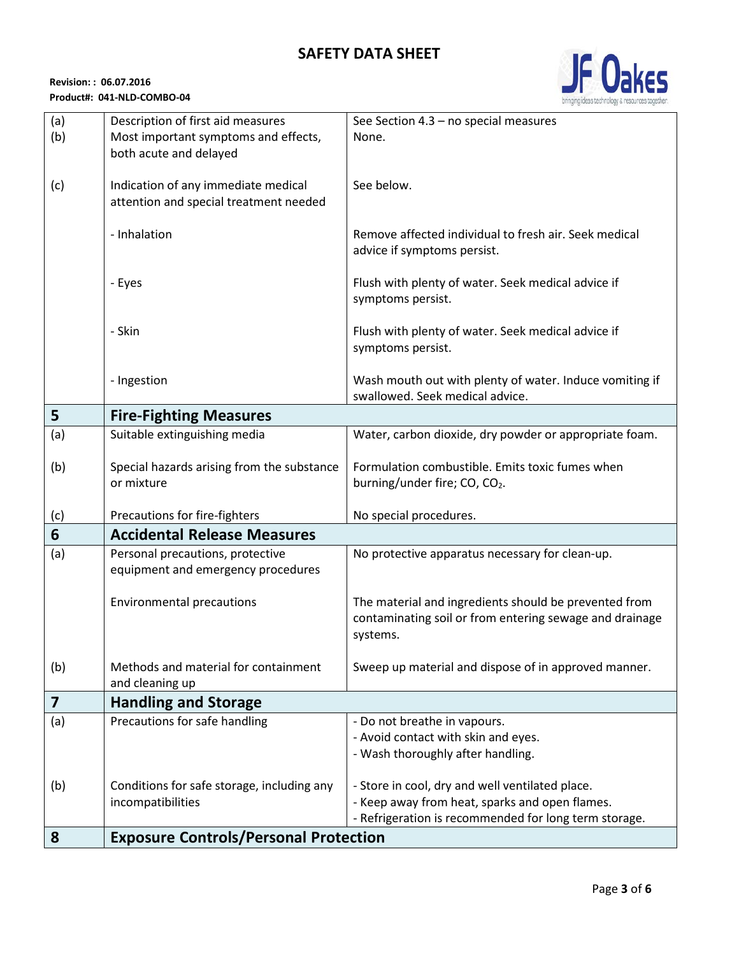

| (a) | Description of first aid measures            | See Section 4.3 - no special measures                   |
|-----|----------------------------------------------|---------------------------------------------------------|
| (b) | Most important symptoms and effects,         | None.                                                   |
|     | both acute and delayed                       |                                                         |
|     |                                              |                                                         |
| (c) | Indication of any immediate medical          | See below.                                              |
|     | attention and special treatment needed       |                                                         |
|     |                                              |                                                         |
|     | - Inhalation                                 | Remove affected individual to fresh air. Seek medical   |
|     |                                              | advice if symptoms persist.                             |
|     |                                              |                                                         |
|     | - Eyes                                       | Flush with plenty of water. Seek medical advice if      |
|     |                                              | symptoms persist.                                       |
|     | - Skin                                       | Flush with plenty of water. Seek medical advice if      |
|     |                                              | symptoms persist.                                       |
|     |                                              |                                                         |
|     | - Ingestion                                  | Wash mouth out with plenty of water. Induce vomiting if |
|     |                                              | swallowed. Seek medical advice.                         |
| 5   | <b>Fire-Fighting Measures</b>                |                                                         |
| (a) | Suitable extinguishing media                 | Water, carbon dioxide, dry powder or appropriate foam.  |
|     |                                              |                                                         |
| (b) | Special hazards arising from the substance   | Formulation combustible. Emits toxic fumes when         |
|     | or mixture                                   | burning/under fire; CO, CO <sub>2</sub> .               |
|     |                                              |                                                         |
| (c) | Precautions for fire-fighters                | No special procedures.                                  |
| 6   | <b>Accidental Release Measures</b>           |                                                         |
| (a) | Personal precautions, protective             | No protective apparatus necessary for clean-up.         |
|     | equipment and emergency procedures           |                                                         |
|     |                                              |                                                         |
|     | <b>Environmental precautions</b>             | The material and ingredients should be prevented from   |
|     |                                              | contaminating soil or from entering sewage and drainage |
|     |                                              | systems.                                                |
|     |                                              |                                                         |
| (b) | Methods and material for containment         | Sweep up material and dispose of in approved manner.    |
|     | and cleaning up                              |                                                         |
| 7   | <b>Handling and Storage</b>                  |                                                         |
| (a) | Precautions for safe handling                | - Do not breathe in vapours.                            |
|     |                                              | - Avoid contact with skin and eyes.                     |
|     |                                              | - Wash thoroughly after handling.                       |
| (b) | Conditions for safe storage, including any   | - Store in cool, dry and well ventilated place.         |
|     | incompatibilities                            | - Keep away from heat, sparks and open flames.          |
|     |                                              | - Refrigeration is recommended for long term storage.   |
| 8   | <b>Exposure Controls/Personal Protection</b> |                                                         |
|     |                                              |                                                         |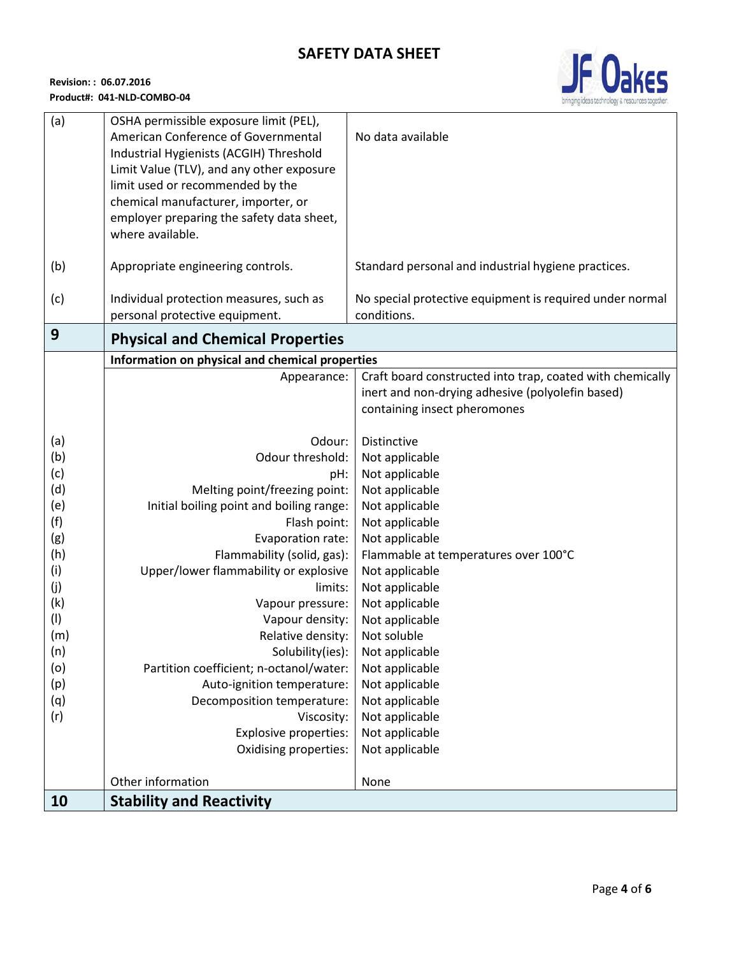

| (a)        | OSHA permissible exposure limit (PEL),                                |                                                           |
|------------|-----------------------------------------------------------------------|-----------------------------------------------------------|
|            | American Conference of Governmental                                   | No data available                                         |
|            | Industrial Hygienists (ACGIH) Threshold                               |                                                           |
|            | Limit Value (TLV), and any other exposure                             |                                                           |
|            | limit used or recommended by the                                      |                                                           |
|            | chemical manufacturer, importer, or                                   |                                                           |
|            | employer preparing the safety data sheet,                             |                                                           |
|            | where available.                                                      |                                                           |
| (b)        | Appropriate engineering controls.                                     | Standard personal and industrial hygiene practices.       |
| (c)        | Individual protection measures, such as                               | No special protective equipment is required under normal  |
|            | personal protective equipment.                                        | conditions.                                               |
| 9          |                                                                       |                                                           |
|            | <b>Physical and Chemical Properties</b>                               |                                                           |
|            | Information on physical and chemical properties                       |                                                           |
|            | Appearance:                                                           | Craft board constructed into trap, coated with chemically |
|            |                                                                       | inert and non-drying adhesive (polyolefin based)          |
|            |                                                                       | containing insect pheromones                              |
| (a)        | Odour:                                                                | Distinctive                                               |
| (b)        | Odour threshold:                                                      | Not applicable                                            |
| (c)        | pH:                                                                   | Not applicable                                            |
| (d)        | Melting point/freezing point:                                         | Not applicable                                            |
| (e)        | Initial boiling point and boiling range:                              | Not applicable                                            |
| (f)        | Flash point:                                                          | Not applicable                                            |
| (g)        | Evaporation rate:                                                     | Not applicable                                            |
| (h)        | Flammability (solid, gas):                                            | Flammable at temperatures over 100°C                      |
| (i)        | Upper/lower flammability or explosive                                 | Not applicable                                            |
| (j)        | limits:                                                               | Not applicable                                            |
| (k)        | Vapour pressure:                                                      | Not applicable                                            |
| (1)        | Vapour density:                                                       | Not applicable                                            |
| (m)        | Relative density:                                                     | Not soluble                                               |
| (n)        | Solubility(ies):                                                      | Not applicable                                            |
| (o)        | Partition coefficient; n-octanol/water:<br>Auto-ignition temperature: | Not applicable<br>Not applicable                          |
| (p)        |                                                                       | Not applicable                                            |
| (q)<br>(r) | Decomposition temperature:<br>Viscosity:                              | Not applicable                                            |
|            | Explosive properties:                                                 | Not applicable                                            |
|            | Oxidising properties:                                                 | Not applicable                                            |
|            |                                                                       |                                                           |
|            | Other information                                                     | None                                                      |
| 10         | <b>Stability and Reactivity</b>                                       |                                                           |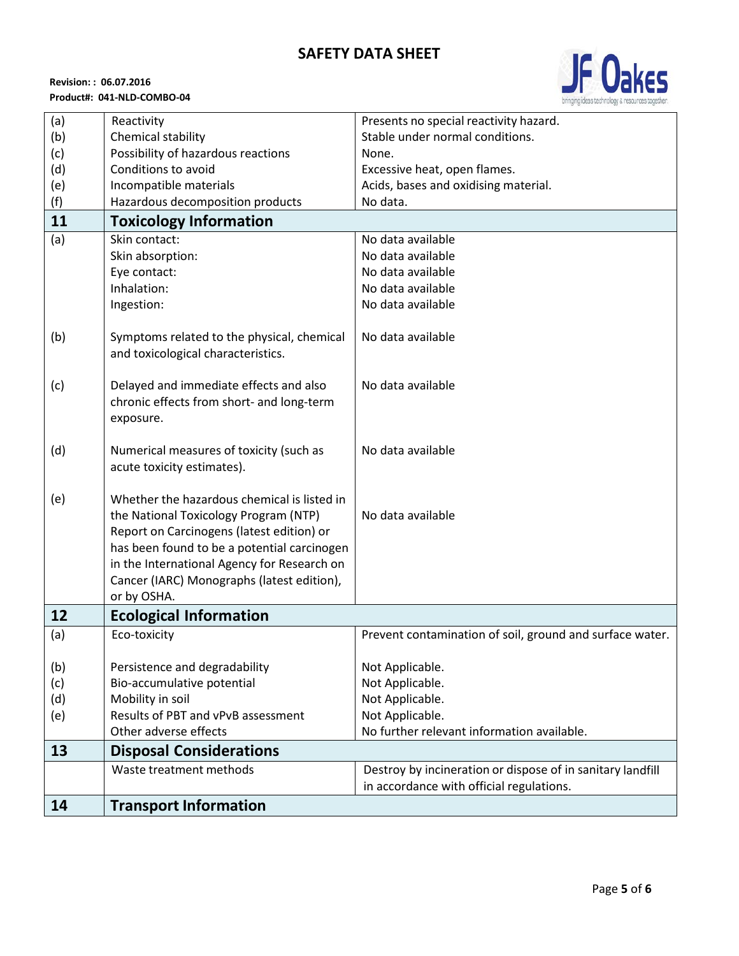

| (a) | Reactivity                                  | Presents no special reactivity hazard.                     |
|-----|---------------------------------------------|------------------------------------------------------------|
| (b) | Chemical stability                          | Stable under normal conditions.                            |
| (c) | Possibility of hazardous reactions          | None.                                                      |
| (d) | Conditions to avoid                         | Excessive heat, open flames.                               |
| (e) | Incompatible materials                      | Acids, bases and oxidising material.                       |
| (f) | Hazardous decomposition products            | No data.                                                   |
| 11  | <b>Toxicology Information</b>               |                                                            |
| (a) | Skin contact:                               | No data available                                          |
|     | Skin absorption:                            | No data available                                          |
|     | Eye contact:                                | No data available                                          |
|     | Inhalation:                                 | No data available                                          |
|     | Ingestion:                                  | No data available                                          |
|     |                                             |                                                            |
| (b) | Symptoms related to the physical, chemical  | No data available                                          |
|     | and toxicological characteristics.          |                                                            |
|     |                                             |                                                            |
| (c) | Delayed and immediate effects and also      | No data available                                          |
|     | chronic effects from short- and long-term   |                                                            |
|     | exposure.                                   |                                                            |
|     |                                             |                                                            |
| (d) | Numerical measures of toxicity (such as     | No data available                                          |
|     | acute toxicity estimates).                  |                                                            |
|     |                                             |                                                            |
| (e) | Whether the hazardous chemical is listed in |                                                            |
|     | the National Toxicology Program (NTP)       | No data available                                          |
|     | Report on Carcinogens (latest edition) or   |                                                            |
|     | has been found to be a potential carcinogen |                                                            |
|     | in the International Agency for Research on |                                                            |
|     | Cancer (IARC) Monographs (latest edition),  |                                                            |
|     | or by OSHA.                                 |                                                            |
| 12  | <b>Ecological Information</b>               |                                                            |
| (a) | Eco-toxicity                                | Prevent contamination of soil, ground and surface water.   |
|     |                                             |                                                            |
| (b) | Persistence and degradability               | Not Applicable.                                            |
| (c) | Bio-accumulative potential                  | Not Applicable.                                            |
| (d) | Mobility in soil                            | Not Applicable.                                            |
| (e) | Results of PBT and vPvB assessment          | Not Applicable.                                            |
|     | Other adverse effects                       | No further relevant information available.                 |
| 13  | <b>Disposal Considerations</b>              |                                                            |
|     | Waste treatment methods                     | Destroy by incineration or dispose of in sanitary landfill |
|     |                                             | in accordance with official regulations.                   |
| 14  | <b>Transport Information</b>                |                                                            |
|     |                                             |                                                            |